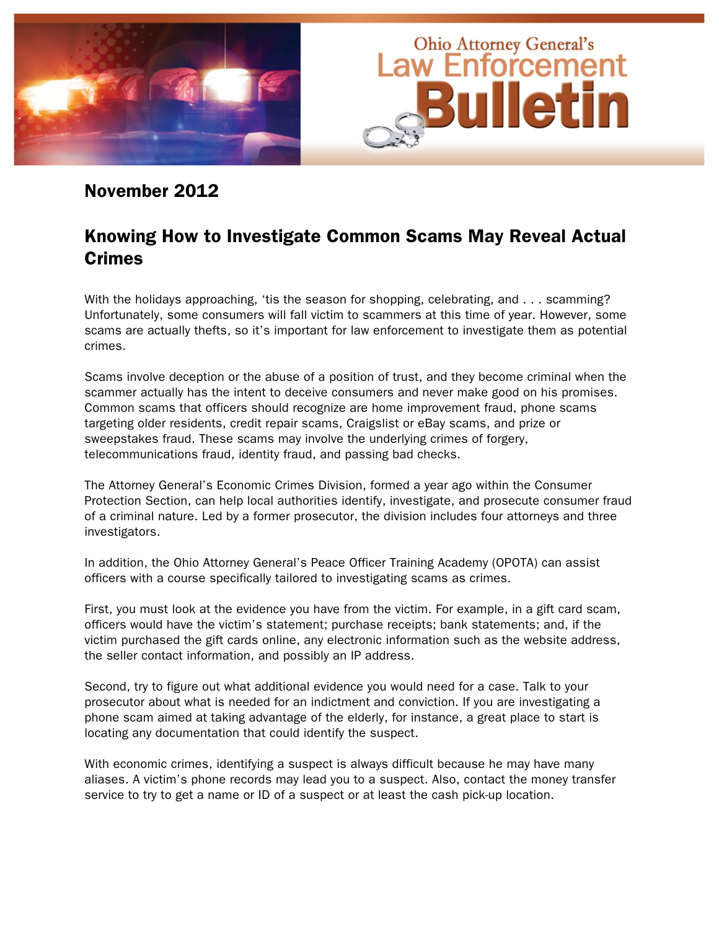

# November 2012

# Knowing How to Investigate Common Scams May Reveal Actual Crimes

With the holidays approaching, 'tis the season for shopping, celebrating, and . . . scamming? Unfortunately, some consumers will fall victim to scammers at this time of year. However, some scams are actually thefts, so it's important for law enforcement to investigate them as potential crimes.

Scams involve deception or the abuse of a position of trust, and they become criminal when the scammer actually has the intent to deceive consumers and never make good on his promises. Common scams that officers should recognize are home improvement fraud, phone scams targeting older residents, credit repair scams, Craigslist or eBay scams, and prize or sweepstakes fraud. These scams may involve the underlying crimes of forgery, telecommunications fraud, identity fraud, and passing bad checks.

The Attorney General's Economic Crimes Division, formed a year ago within the Consumer Protection Section, can help local authorities identify, investigate, and prosecute consumer fraud of a criminal nature. Led by a former prosecutor, the division includes four attorneys and three investigators.

In addition, the Ohio Attorney General's Peace Officer Training Academy (OPOTA) can assist officers with a course specifically tailored to investigating scams as crimes.

First, you must look at the evidence you have from the victim. For example, in a gift card scam, officers would have the victim's statement; purchase receipts; bank statements; and, if the victim purchased the gift cards online, any electronic information such as the website address, the seller contact information, and possibly an IP address.

Second, try to figure out what additional evidence you would need for a case. Talk to your prosecutor about what is needed for an indictment and conviction. If you are investigating a phone scam aimed at taking advantage of the elderly, for instance, a great place to start is locating any documentation that could identify the suspect.

With economic crimes, identifying a suspect is always difficult because he may have many aliases. A victim's phone records may lead you to a suspect. Also, contact the money transfer service to try to get a name or ID of a suspect or at least the cash pick-up location.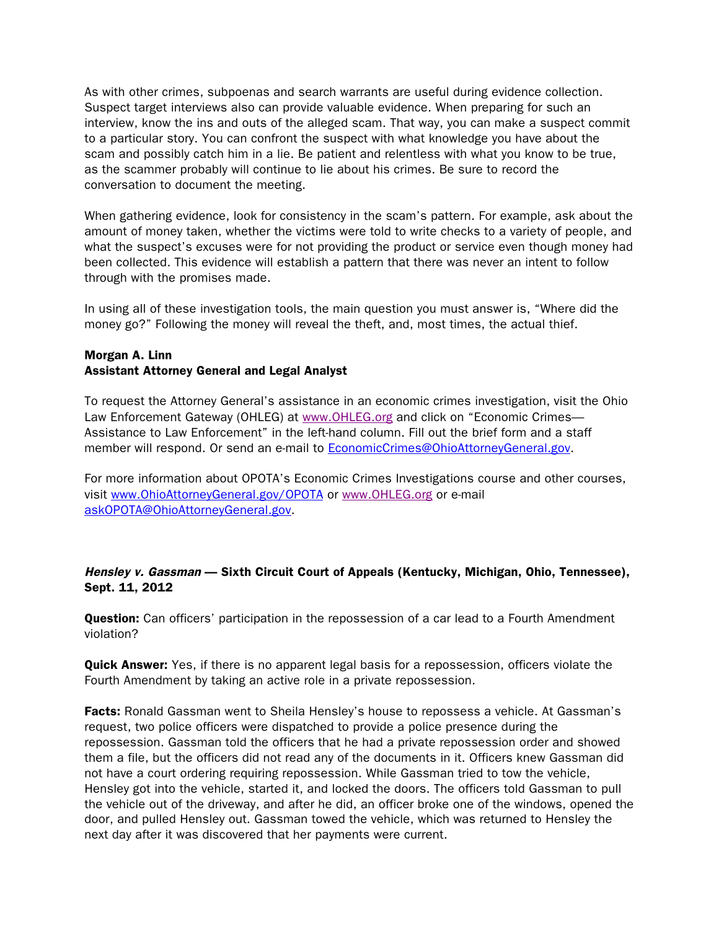As with other crimes, subpoenas and search warrants are useful during evidence collection. Suspect target interviews also can provide valuable evidence. When preparing for such an interview, know the ins and outs of the alleged scam. That way, you can make a suspect commit to a particular story. You can confront the suspect with what knowledge you have about the scam and possibly catch him in a lie. Be patient and relentless with what you know to be true, as the scammer probably will continue to lie about his crimes. Be sure to record the conversation to document the meeting.

When gathering evidence, look for consistency in the scam's pattern. For example, ask about the amount of money taken, whether the victims were told to write checks to a variety of people, and what the suspect's excuses were for not providing the product or service even though money had been collected. This evidence will establish a pattern that there was never an intent to follow through with the promises made.

In using all of these investigation tools, the main question you must answer is, "Where did the money go?" Following the money will reveal the theft, and, most times, the actual thief.

#### Morgan A. Linn Assistant Attorney General and Legal Analyst

To request the Attorney General's assistance in an economic crimes investigation, visit the Ohio Law Enforcement Gateway (OHLEG) at www.OHLEG.org and click on "Economic Crimes— Assistance to Law Enforcement" in the left-hand column. Fill out the brief form and a staff member will respond. Or send an e-mail to EconomicCrimes@OhioAttorneyGeneral.gov.

For more information about OPOTA's Economic Crimes Investigations course and other courses, visit www.OhioAttorneyGeneral.gov/OPOTA or www.OHLEG.org or e-mail askOPOTA@OhioAttorneyGeneral.gov.

# Hensley v. Gassman — Sixth Circuit Court of Appeals (Kentucky, Michigan, Ohio, Tennessee), Sept. 11, 2012

**Question:** Can officers' participation in the repossession of a car lead to a Fourth Amendment violation?

**Quick Answer:** Yes, if there is no apparent legal basis for a repossession, officers violate the Fourth Amendment by taking an active role in a private repossession.

Facts: Ronald Gassman went to Sheila Hensley's house to repossess a vehicle. At Gassman's request, two police officers were dispatched to provide a police presence during the repossession. Gassman told the officers that he had a private repossession order and showed them a file, but the officers did not read any of the documents in it. Officers knew Gassman did not have a court ordering requiring repossession. While Gassman tried to tow the vehicle, Hensley got into the vehicle, started it, and locked the doors. The officers told Gassman to pull the vehicle out of the driveway, and after he did, an officer broke one of the windows, opened the door, and pulled Hensley out. Gassman towed the vehicle, which was returned to Hensley the next day after it was discovered that her payments were current.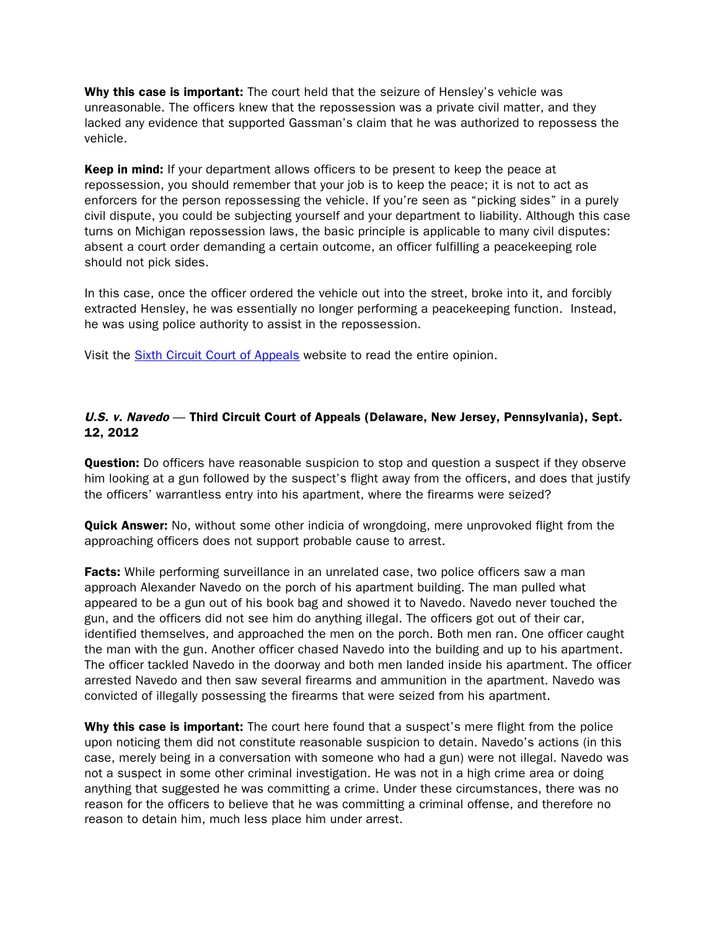Why this case is important: The court held that the seizure of Hensley's vehicle was unreasonable. The officers knew that the repossession was a private civil matter, and they lacked any evidence that supported Gassman's claim that he was authorized to repossess the vehicle.

**Keep in mind:** If your department allows officers to be present to keep the peace at repossession, you should remember that your job is to keep the peace; it is not to act as enforcers for the person repossessing the vehicle. If you're seen as "picking sides" in a purely civil dispute, you could be subjecting yourself and your department to liability. Although this case turns on Michigan repossession laws, the basic principle is applicable to many civil disputes: absent a court order demanding a certain outcome, an officer fulfilling a peacekeeping role should not pick sides.

In this case, once the officer ordered the vehicle out into the street, broke into it, and forcibly extracted Hensley, he was essentially no longer performing a peacekeeping function. Instead, he was using police authority to assist in the repossession.

Visit the [Sixth Circuit Court of Appeals](http://www.google.com/url?sa=t&rct=j&q=hensley%20v.%20gassman%20%E2%80%94%20sixth%20circuit%20court%20of%20appeals&source=web&cd=1&sqi=2&ved=0CB4QFjAA&url=http%3A%2F%2Fwww.ca6.uscourts.gov%2Fopinions.pdf%2F12a0319p-06.pdf&ei=r5OOUK37H5LD0AHR8YGQBQ&usg=AFQjCNFtLHzyl8qknn7LPQ425QOlFK0cpg) website to read the entire opinion.

# U.S. v. Navedo — Third Circuit Court of Appeals (Delaware, New Jersey, Pennsylvania), Sept. 12, 2012

**Question:** Do officers have reasonable suspicion to stop and question a suspect if they observe him looking at a gun followed by the suspect's flight away from the officers, and does that justify the officers' warrantless entry into his apartment, where the firearms were seized?

**Quick Answer:** No, without some other indicia of wrongdoing, mere unprovoked flight from the approaching officers does not support probable cause to arrest.

Facts: While performing surveillance in an unrelated case, two police officers saw a man approach Alexander Navedo on the porch of his apartment building. The man pulled what appeared to be a gun out of his book bag and showed it to Navedo. Navedo never touched the gun, and the officers did not see him do anything illegal. The officers got out of their car, identified themselves, and approached the men on the porch. Both men ran. One officer caught the man with the gun. Another officer chased Navedo into the building and up to his apartment. The officer tackled Navedo in the doorway and both men landed inside his apartment. The officer arrested Navedo and then saw several firearms and ammunition in the apartment. Navedo was convicted of illegally possessing the firearms that were seized from his apartment.

Why this case is important: The court here found that a suspect's mere flight from the police upon noticing them did not constitute reasonable suspicion to detain. Navedo's actions (in this case, merely being in a conversation with someone who had a gun) were not illegal. Navedo was not a suspect in some other criminal investigation. He was not in a high crime area or doing anything that suggested he was committing a crime. Under these circumstances, there was no reason for the officers to believe that he was committing a criminal offense, and therefore no reason to detain him, much less place him under arrest.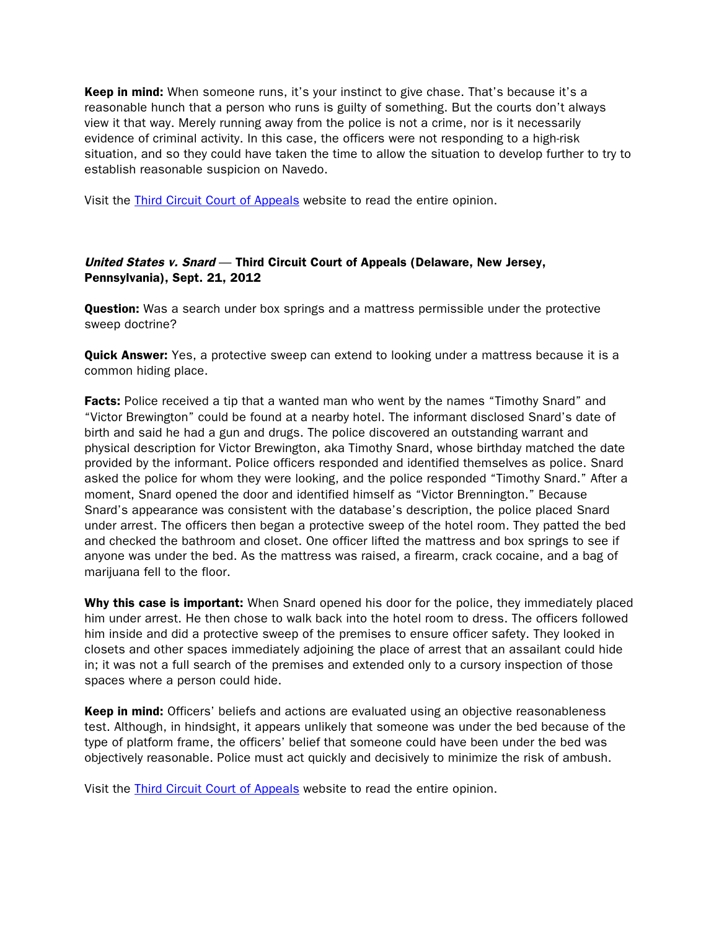**Keep in mind:** When someone runs, it's your instinct to give chase. That's because it's a reasonable hunch that a person who runs is guilty of something. But the courts don't always view it that way. Merely running away from the police is not a crime, nor is it necessarily evidence of criminal activity. In this case, the officers were not responding to a high-risk situation, and so they could have taken the time to allow the situation to develop further to try to establish reasonable suspicion on Navedo.

Visit the [Third Circuit Court of Appeals](http://www.ca3.uscourts.gov/opinarch/113413p.pdf) website to read the entire opinion.

#### United States v. Snard — Third Circuit Court of Appeals (Delaware, New Jersey, Pennsylvania), Sept. 21, 2012

**Question:** Was a search under box springs and a mattress permissible under the protective sweep doctrine?

**Quick Answer:** Yes, a protective sweep can extend to looking under a mattress because it is a common hiding place.

**Facts:** Police received a tip that a wanted man who went by the names "Timothy Snard" and "Victor Brewington" could be found at a nearby hotel. The informant disclosed Snard's date of birth and said he had a gun and drugs. The police discovered an outstanding warrant and physical description for Victor Brewington, aka Timothy Snard, whose birthday matched the date provided by the informant. Police officers responded and identified themselves as police. Snard asked the police for whom they were looking, and the police responded "Timothy Snard." After a moment, Snard opened the door and identified himself as "Victor Brennington." Because Snard's appearance was consistent with the database's description, the police placed Snard under arrest. The officers then began a protective sweep of the hotel room. They patted the bed and checked the bathroom and closet. One officer lifted the mattress and box springs to see if anyone was under the bed. As the mattress was raised, a firearm, crack cocaine, and a bag of marijuana fell to the floor.

Why this case is important: When Snard opened his door for the police, they immediately placed him under arrest. He then chose to walk back into the hotel room to dress. The officers followed him inside and did a protective sweep of the premises to ensure officer safety. They looked in closets and other spaces immediately adjoining the place of arrest that an assailant could hide in; it was not a full search of the premises and extended only to a cursory inspection of those spaces where a person could hide.

Keep in mind: Officers' beliefs and actions are evaluated using an objective reasonableness test. Although, in hindsight, it appears unlikely that someone was under the bed because of the type of platform frame, the officers' belief that someone could have been under the bed was objectively reasonable. Police must act quickly and decisively to minimize the risk of ambush.

Visit the [Third Circuit Court of Appeals](http://www.ca3.uscourts.gov/opinarch/101717np.pdf) website to read the entire opinion.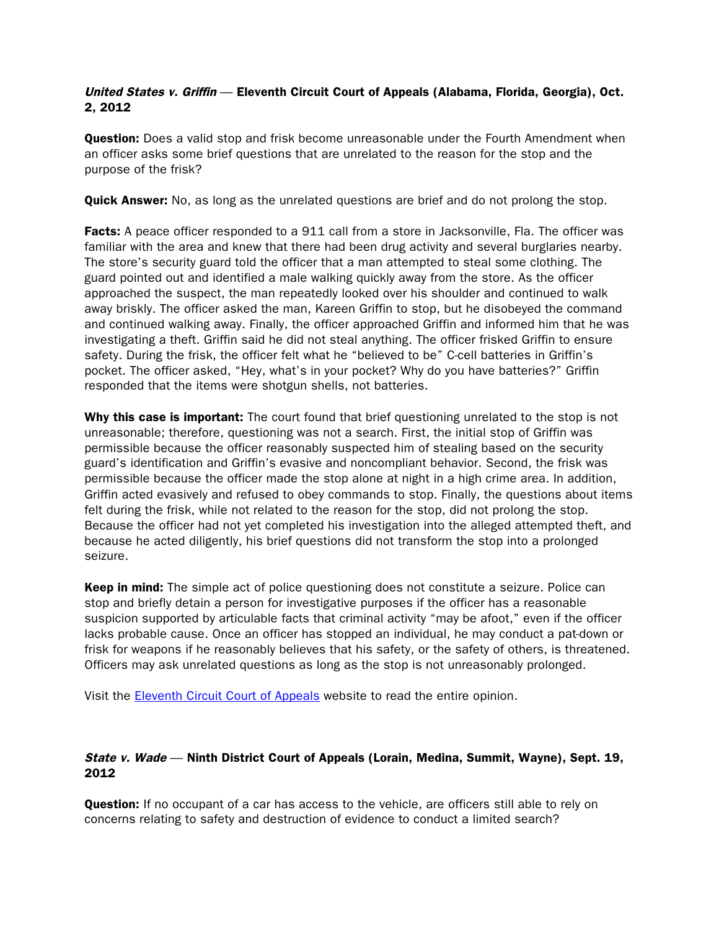#### United States v. Griffin — Eleventh Circuit Court of Appeals (Alabama, Florida, Georgia), Oct. 2, 2012

**Question:** Does a valid stop and frisk become unreasonable under the Fourth Amendment when an officer asks some brief questions that are unrelated to the reason for the stop and the purpose of the frisk?

**Quick Answer:** No, as long as the unrelated questions are brief and do not prolong the stop.

Facts: A peace officer responded to a 911 call from a store in Jacksonville, Fla. The officer was familiar with the area and knew that there had been drug activity and several burglaries nearby. The store's security guard told the officer that a man attempted to steal some clothing. The guard pointed out and identified a male walking quickly away from the store. As the officer approached the suspect, the man repeatedly looked over his shoulder and continued to walk away briskly. The officer asked the man, Kareen Griffin to stop, but he disobeyed the command and continued walking away. Finally, the officer approached Griffin and informed him that he was investigating a theft. Griffin said he did not steal anything. The officer frisked Griffin to ensure safety. During the frisk, the officer felt what he "believed to be" C-cell batteries in Griffin's pocket. The officer asked, "Hey, what's in your pocket? Why do you have batteries?" Griffin responded that the items were shotgun shells, not batteries.

Why this case is important: The court found that brief questioning unrelated to the stop is not unreasonable; therefore, questioning was not a search. First, the initial stop of Griffin was permissible because the officer reasonably suspected him of stealing based on the security guard's identification and Griffin's evasive and noncompliant behavior. Second, the frisk was permissible because the officer made the stop alone at night in a high crime area. In addition, Griffin acted evasively and refused to obey commands to stop. Finally, the questions about items felt during the frisk, while not related to the reason for the stop, did not prolong the stop. Because the officer had not yet completed his investigation into the alleged attempted theft, and because he acted diligently, his brief questions did not transform the stop into a prolonged seizure.

Keep in mind: The simple act of police questioning does not constitute a seizure. Police can stop and briefly detain a person for investigative purposes if the officer has a reasonable suspicion supported by articulable facts that criminal activity "may be afoot," even if the officer lacks probable cause. Once an officer has stopped an individual, he may conduct a pat-down or frisk for weapons if he reasonably believes that his safety, or the safety of others, is threatened. Officers may ask unrelated questions as long as the stop is not unreasonably prolonged.

Visit the [Eleventh Circuit Court of Appeals](http://www.ca11.uscourts.gov/opinions/ops/201115558.pdf) website to read the entire opinion.

#### State v. Wade — Ninth District Court of Appeals (Lorain, Medina, Summit, Wayne), Sept. 19, 2012

**Question:** If no occupant of a car has access to the vehicle, are officers still able to rely on concerns relating to safety and destruction of evidence to conduct a limited search?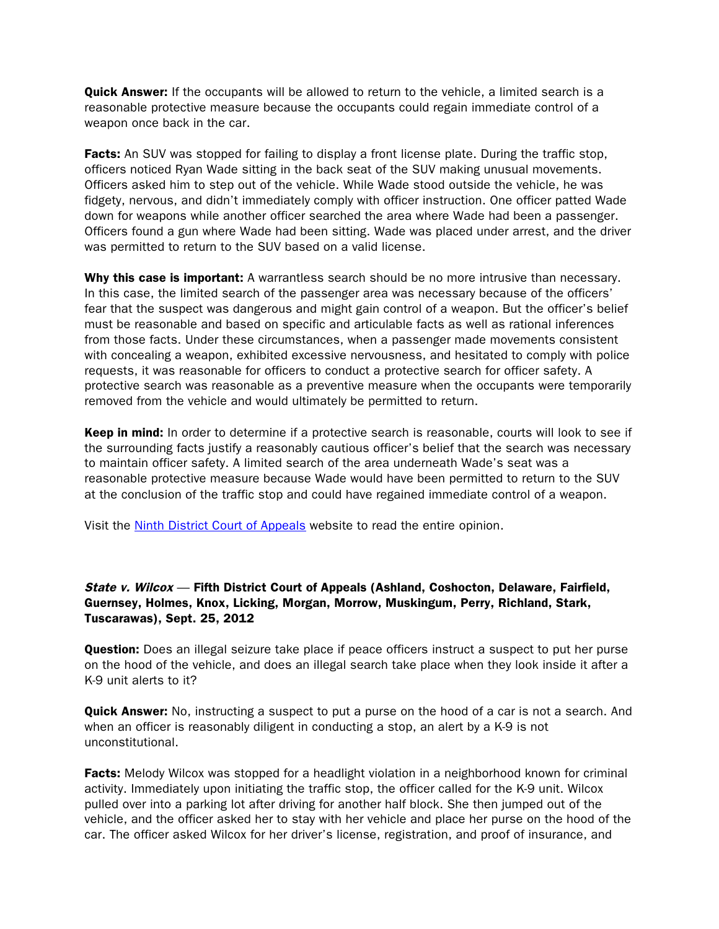**Quick Answer:** If the occupants will be allowed to return to the vehicle, a limited search is a reasonable protective measure because the occupants could regain immediate control of a weapon once back in the car.

Facts: An SUV was stopped for failing to display a front license plate. During the traffic stop, officers noticed Ryan Wade sitting in the back seat of the SUV making unusual movements. Officers asked him to step out of the vehicle. While Wade stood outside the vehicle, he was fidgety, nervous, and didn't immediately comply with officer instruction. One officer patted Wade down for weapons while another officer searched the area where Wade had been a passenger. Officers found a gun where Wade had been sitting. Wade was placed under arrest, and the driver was permitted to return to the SUV based on a valid license.

Why this case is important: A warrantless search should be no more intrusive than necessary. In this case, the limited search of the passenger area was necessary because of the officers' fear that the suspect was dangerous and might gain control of a weapon. But the officer's belief must be reasonable and based on specific and articulable facts as well as rational inferences from those facts. Under these circumstances, when a passenger made movements consistent with concealing a weapon, exhibited excessive nervousness, and hesitated to comply with police requests, it was reasonable for officers to conduct a protective search for officer safety. A protective search was reasonable as a preventive measure when the occupants were temporarily removed from the vehicle and would ultimately be permitted to return.

Keep in mind: In order to determine if a protective search is reasonable, courts will look to see if the surrounding facts justify a reasonably cautious officer's belief that the search was necessary to maintain officer safety. A limited search of the area underneath Wade's seat was a reasonable protective measure because Wade would have been permitted to return to the SUV at the conclusion of the traffic stop and could have regained immediate control of a weapon.

Visit the [Ninth District Court of Appeals](http://www.supremecourt.ohio.gov/rod/docs/pdf/9/2012/2012-ohio-4255.pdf) website to read the entire opinion.

# State v. Wilcox — Fifth District Court of Appeals (Ashland, Coshocton, Delaware, Fairfield, Guernsey, Holmes, Knox, Licking, Morgan, Morrow, Muskingum, Perry, Richland, Stark, Tuscarawas), Sept. 25, 2012

**Question:** Does an illegal seizure take place if peace officers instruct a suspect to put her purse on the hood of the vehicle, and does an illegal search take place when they look inside it after a K-9 unit alerts to it?

**Quick Answer:** No, instructing a suspect to put a purse on the hood of a car is not a search. And when an officer is reasonably diligent in conducting a stop, an alert by a K-9 is not unconstitutional.

**Facts:** Melody Wilcox was stopped for a headlight violation in a neighborhood known for criminal activity. Immediately upon initiating the traffic stop, the officer called for the K-9 unit. Wilcox pulled over into a parking lot after driving for another half block. She then jumped out of the vehicle, and the officer asked her to stay with her vehicle and place her purse on the hood of the car. The officer asked Wilcox for her driver's license, registration, and proof of insurance, and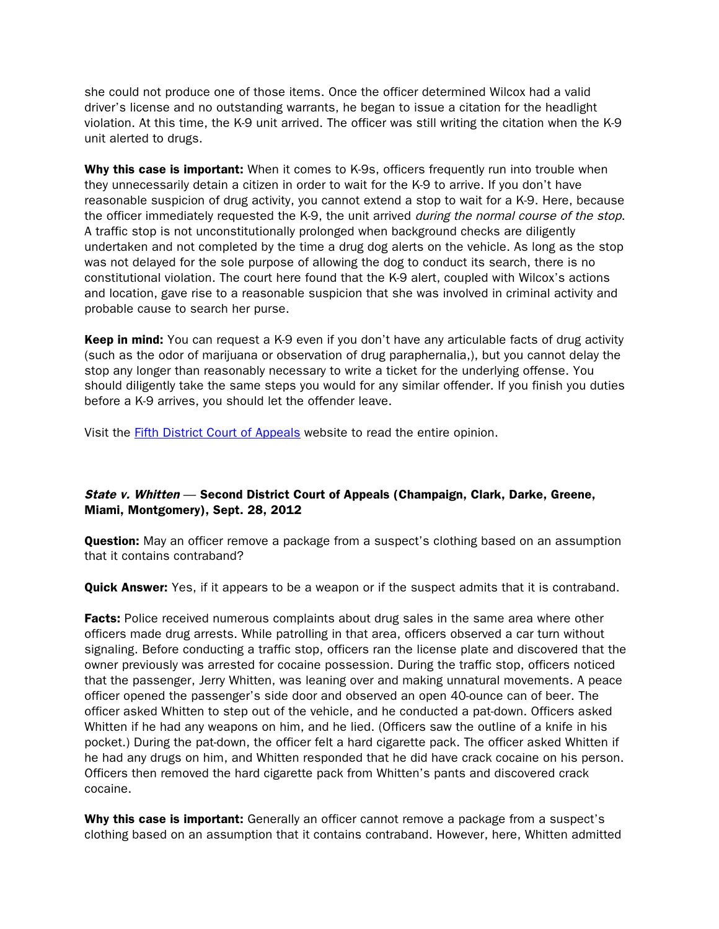she could not produce one of those items. Once the officer determined Wilcox had a valid driver's license and no outstanding warrants, he began to issue a citation for the headlight violation. At this time, the K-9 unit arrived. The officer was still writing the citation when the K-9 unit alerted to drugs.

Why this case is important: When it comes to K-9s, officers frequently run into trouble when they unnecessarily detain a citizen in order to wait for the K-9 to arrive. If you don't have reasonable suspicion of drug activity, you cannot extend a stop to wait for a K-9. Here, because the officer immediately requested the K-9, the unit arrived *during the normal course of the stop*. A traffic stop is not unconstitutionally prolonged when background checks are diligently undertaken and not completed by the time a drug dog alerts on the vehicle. As long as the stop was not delayed for the sole purpose of allowing the dog to conduct its search, there is no constitutional violation. The court here found that the K-9 alert, coupled with Wilcox's actions and location, gave rise to a reasonable suspicion that she was involved in criminal activity and probable cause to search her purse.

**Keep in mind:** You can request a K-9 even if you don't have any articulable facts of drug activity (such as the odor of marijuana or observation of drug paraphernalia,), but you cannot delay the stop any longer than reasonably necessary to write a ticket for the underlying offense. You should diligently take the same steps you would for any similar offender. If you finish you duties before a K-9 arrives, you should let the offender leave.

Visit the [Fifth District Court of Appeals](http://www.supremecourt.ohio.gov/rod/docs/pdf/5/2012/2012-ohio-4582.pdf) website to read the entire opinion.

# State v. Whitten — Second District Court of Appeals (Champaign, Clark, Darke, Greene, Miami, Montgomery), Sept. 28, 2012

**Question:** May an officer remove a package from a suspect's clothing based on an assumption that it contains contraband?

**Quick Answer:** Yes, if it appears to be a weapon or if the suspect admits that it is contraband.

**Facts:** Police received numerous complaints about drug sales in the same area where other officers made drug arrests. While patrolling in that area, officers observed a car turn without signaling. Before conducting a traffic stop, officers ran the license plate and discovered that the owner previously was arrested for cocaine possession. During the traffic stop, officers noticed that the passenger, Jerry Whitten, was leaning over and making unnatural movements. A peace officer opened the passenger's side door and observed an open 40-ounce can of beer. The officer asked Whitten to step out of the vehicle, and he conducted a pat-down. Officers asked Whitten if he had any weapons on him, and he lied. (Officers saw the outline of a knife in his pocket.) During the pat-down, the officer felt a hard cigarette pack. The officer asked Whitten if he had any drugs on him, and Whitten responded that he did have crack cocaine on his person. Officers then removed the hard cigarette pack from Whitten's pants and discovered crack cocaine.

Why this case is important: Generally an officer cannot remove a package from a suspect's clothing based on an assumption that it contains contraband. However, here, Whitten admitted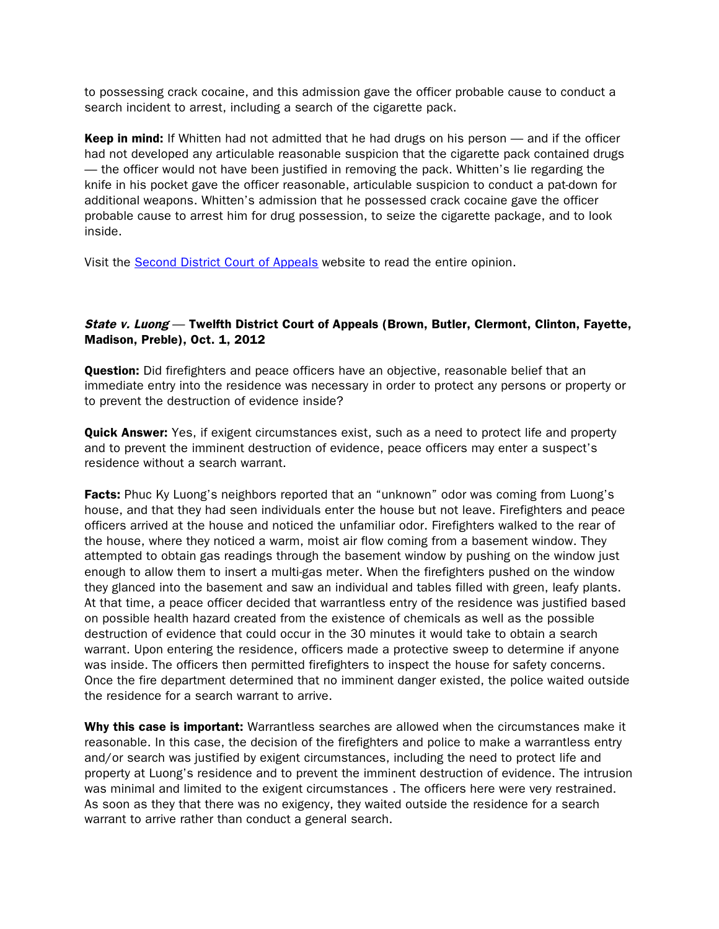to possessing crack cocaine, and this admission gave the officer probable cause to conduct a search incident to arrest, including a search of the cigarette pack.

Keep in mind: If Whitten had not admitted that he had drugs on his person — and if the officer had not developed any articulable reasonable suspicion that the cigarette pack contained drugs — the officer would not have been justified in removing the pack. Whitten's lie regarding the knife in his pocket gave the officer reasonable, articulable suspicion to conduct a pat-down for additional weapons. Whitten's admission that he possessed crack cocaine gave the officer probable cause to arrest him for drug possession, to seize the cigarette package, and to look inside.

Visit the [Second District Court](http://www.supremecourt.ohio.gov/rod/docs/pdf/2/2012/2012-ohio-4455.pdf) of Appeals website to read the entire opinion.

#### State v. Luong — Twelfth District Court of Appeals (Brown, Butler, Clermont, Clinton, Fayette, Madison, Preble), Oct. 1, 2012

**Question:** Did firefighters and peace officers have an objective, reasonable belief that an immediate entry into the residence was necessary in order to protect any persons or property or to prevent the destruction of evidence inside?

**Quick Answer:** Yes, if exigent circumstances exist, such as a need to protect life and property and to prevent the imminent destruction of evidence, peace officers may enter a suspect's residence without a search warrant.

**Facts:** Phuc Ky Luong's neighbors reported that an "unknown" odor was coming from Luong's house, and that they had seen individuals enter the house but not leave. Firefighters and peace officers arrived at the house and noticed the unfamiliar odor. Firefighters walked to the rear of the house, where they noticed a warm, moist air flow coming from a basement window. They attempted to obtain gas readings through the basement window by pushing on the window just enough to allow them to insert a multi-gas meter. When the firefighters pushed on the window they glanced into the basement and saw an individual and tables filled with green, leafy plants. At that time, a peace officer decided that warrantless entry of the residence was justified based on possible health hazard created from the existence of chemicals as well as the possible destruction of evidence that could occur in the 30 minutes it would take to obtain a search warrant. Upon entering the residence, officers made a protective sweep to determine if anyone was inside. The officers then permitted firefighters to inspect the house for safety concerns. Once the fire department determined that no imminent danger existed, the police waited outside the residence for a search warrant to arrive.

Why this case is important: Warrantless searches are allowed when the circumstances make it reasonable. In this case, the decision of the firefighters and police to make a warrantless entry and/or search was justified by exigent circumstances, including the need to protect life and property at Luong's residence and to prevent the imminent destruction of evidence. The intrusion was minimal and limited to the exigent circumstances . The officers here were very restrained. As soon as they that there was no exigency, they waited outside the residence for a search warrant to arrive rather than conduct a general search.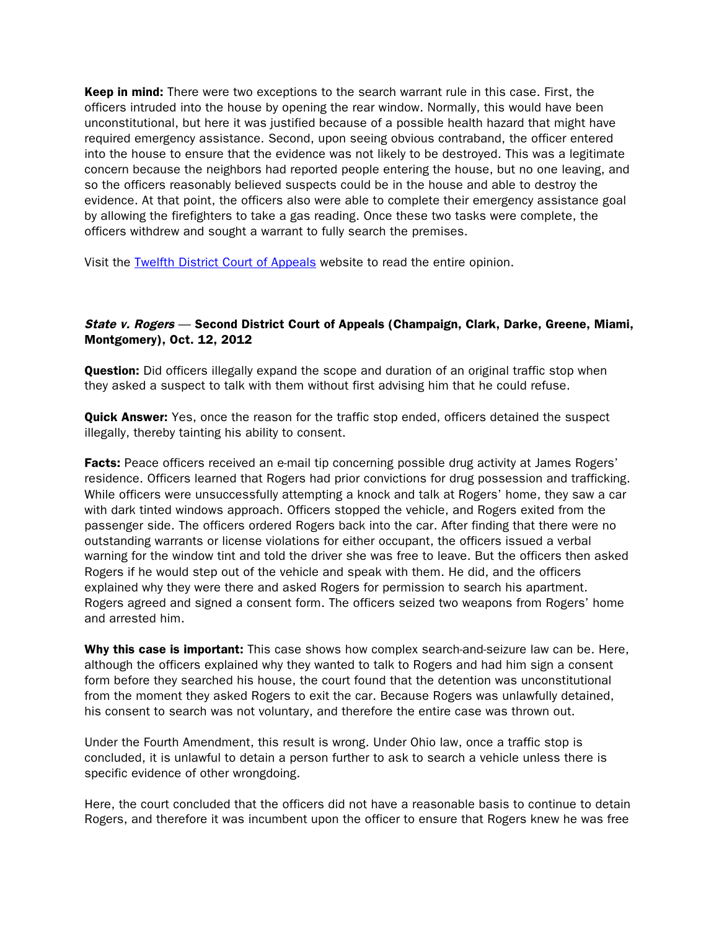**Keep in mind:** There were two exceptions to the search warrant rule in this case. First, the officers intruded into the house by opening the rear window. Normally, this would have been unconstitutional, but here it was justified because of a possible health hazard that might have required emergency assistance. Second, upon seeing obvious contraband, the officer entered into the house to ensure that the evidence was not likely to be destroyed. This was a legitimate concern because the neighbors had reported people entering the house, but no one leaving, and so the officers reasonably believed suspects could be in the house and able to destroy the evidence. At that point, the officers also were able to complete their emergency assistance goal by allowing the firefighters to take a gas reading. Once these two tasks were complete, the officers withdrew and sought a warrant to fully search the premises.

Visit the [Twelfth District Court of Appeals](http://www.supremecourt.ohio.gov/rod/docs/pdf/12/2012/2012-ohio-4520.pdf) website to read the entire opinion.

#### State v. Rogers — Second District Court of Appeals (Champaign, Clark, Darke, Greene, Miami, Montgomery), Oct. 12, 2012

**Question:** Did officers illegally expand the scope and duration of an original traffic stop when they asked a suspect to talk with them without first advising him that he could refuse.

**Quick Answer:** Yes, once the reason for the traffic stop ended, officers detained the suspect illegally, thereby tainting his ability to consent.

Facts: Peace officers received an e-mail tip concerning possible drug activity at James Rogers' residence. Officers learned that Rogers had prior convictions for drug possession and trafficking. While officers were unsuccessfully attempting a knock and talk at Rogers' home, they saw a car with dark tinted windows approach. Officers stopped the vehicle, and Rogers exited from the passenger side. The officers ordered Rogers back into the car. After finding that there were no outstanding warrants or license violations for either occupant, the officers issued a verbal warning for the window tint and told the driver she was free to leave. But the officers then asked Rogers if he would step out of the vehicle and speak with them. He did, and the officers explained why they were there and asked Rogers for permission to search his apartment. Rogers agreed and signed a consent form. The officers seized two weapons from Rogers' home and arrested him.

Why this case is important: This case shows how complex search-and-seizure law can be. Here, although the officers explained why they wanted to talk to Rogers and had him sign a consent form before they searched his house, the court found that the detention was unconstitutional from the moment they asked Rogers to exit the car. Because Rogers was unlawfully detained, his consent to search was not voluntary, and therefore the entire case was thrown out.

Under the Fourth Amendment, this result is wrong. Under Ohio law, once a traffic stop is concluded, it is unlawful to detain a person further to ask to search a vehicle unless there is specific evidence of other wrongdoing.

Here, the court concluded that the officers did not have a reasonable basis to continue to detain Rogers, and therefore it was incumbent upon the officer to ensure that Rogers knew he was free